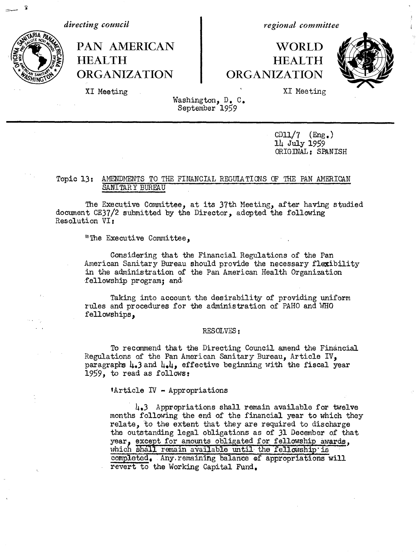=

*directing council* and the *regional committee* 

# PAN AMERICAN NORLD -Od ) **HEALTH HEALTH** i; **ORGANIZATION ORGANIZATION**



XI Meeting . The same state of the state of the SI Meeting state of the SI Meeting state of the SI Meeting state of the SI Meeting state of the SI Meeting state of the SI Meeting state of the SI Meeting state of the SI Mee

Washington, D. C. September 1959

> $CD11/7$  (Eng.) 14 July 1959 ORIGINAL: SPANISH

## Topic 13: AMENDMENTS TO THE FINANCIAL REGULATIONS OF THE PAN AMERICAN SANITARY BUREAU

The Executive Committee, at its 37th Meeting, after having studied document CE37/2 submitted by the Director, adopted the following Resolution VI:

"The Executive Committee,

Considering that the Financial Regulations of the Pan American Sanitary Bureau should provide the necessary flexibility in the administration of the Pan American Health Organization fellowship program; and

Taking into account the desirability of providing uniform rules and procedures for the administration of PAHO and WHO fellowships,

#### RESOLVES:

To recommend that the Directing Council amend the Financial Regulations of the Pan American Sanitary Bureau, Article IV, paragraphs  $\mu_*$ 3 and  $\mu_*\mu_*$  effective beginning with the fiscal year 1959, to read as follows:

'Article IV - Appropriations

4,3 Appropriations shall remain available for twelve months following the end of the financial year to which they relate, to the extent that they are required to discharge the outstanding legal obligations as of 31 December of that year, except for amounts obligated for fellowship awards, which shall remain available until the fellowship is completed, Any.remaining balance of appropriations will revert to the Working Capital Fund.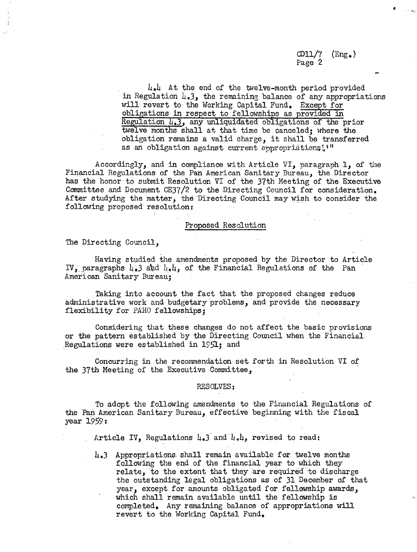$CD11/7$   $(Eng.)$ Page 2

 $4.4$  At the end of the twelve-month period provided in Regulation  $l_{\bullet}$ 3, the remaining balance of any appropriations will. revert to the Working Capital Fund. Except for obligations in respect to fellowships as provided in Regulation 4,3, any unliquidated obligations of the prior twelve months shall at that time be canceled; where the obligation remains a valid charge, it shall be transferred as an obligation against current appropriations!'"

Accordingly, and in compliance with Article VI, paragraph 1, of the Financial Regulations of the Pan American Sanitary Bureau, the Director has the honor to submit Resolution VI of the 37th Meeting of the Executive Committee and Document CE37/2 to the Directing Council for consideration. After studying the matter, the Directing Council may wish to consider the following proposed resolution:

#### Proposed Resolution

The Directing Council,

Having studied the.amendments proposed by the Director to Article IV, paragraphs 4.3 and  $\mu_*\mu$ , of the Financial Regulations of the Pan American Sanitary Bureau;

Taking into account the fact that the proposed changes reduce administrative work and budgetary problems, and provide the necessary flexibility for PAHO fellowships;

Considering that these changes do not affect the basic provisions or the pattern established by the Directing Council when the Financial Regulations were established in 1951; and

Concurring in the recommendation set forth in Resolution VI of the 37th Meeting of the Executive Committee,

#### RESOLVES:

To adopt the following amendments to the Financial Regulations of the Pan American Sanitary Bureau, effective beginning with the fiscal year 1959:

Article IV, Regulations  $\mu_{\bullet}$ 3 and  $\mu_{\bullet}\mu_{\bullet}$  revised to read:

4.3 Appropriations. shall remain available for twelve months following the end of the financial year to which they relate, to the extent that they are required 'to discharge the outstanding legal obligations as of 31 December of that year, except for amounts obligated for fellowship awards, which shall remain available until the fellowship is completed. Any remaining balance of appropriations will revert to the Working Capital Fund,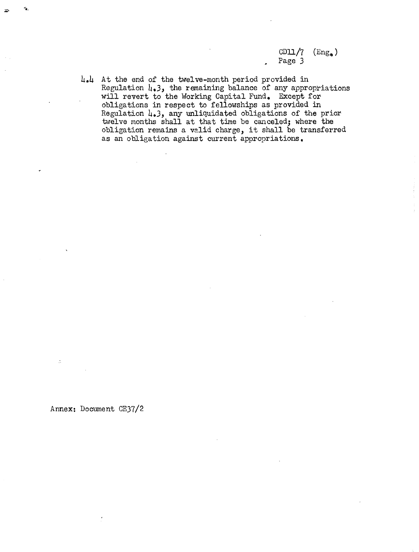$CD11/7$  (Eng.) Page 3

4.4 At the end of the twelve-month period provided in Regulation  $\mu_{\bullet}$ 3, the remaining balance of any appropriations will revert to the Working Capital Fund. Except for obligations in respect to fellowships as provided in Regulation 4.3, any unliquidated obligations of the prior twelve months shall at that time be canceled; where the obligation remains a valid charge, it shall be transferred as an obligation against current appropriations,

Annex: Document CE37/2

 $\ddot{\mathcal{Z}}$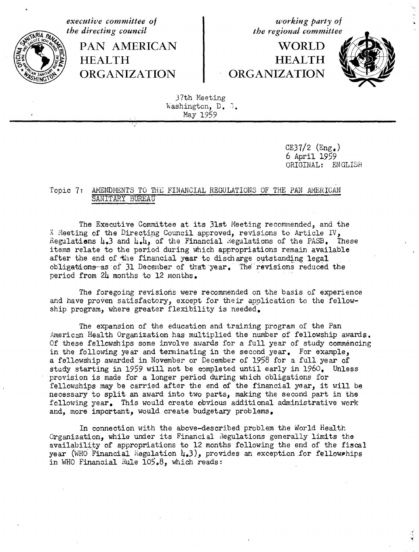*the directing council* the regional committee

PAN AMERICAN 1 WORLD

*executive committee of working party of*

# **HEALTH HEALTH ORGANIZATION ORGANIZATION**



37th Meeting Washington, D. 3. May 1959

> $CE37/2$  (Eng.) 6 April 1959 ORIGINAL: ENGLISH

### Topic 7: AMENDMENTS TO THE FINANCIAL REGULATIONS OF THE PAN AMERICAN SANITARY BUREAU

The Executive Committee at its 31st Meeting recommended, and the X Meeting of the Directing Council approved, revisions to Article IV, Regulations  $\mu_{\bullet}$ 3 and  $\mu_{\bullet}\mu_{\bullet}$  of the Financial Regulations of the PASB. These items relate to the period during which appropriations remain available after the end of the financial year to discharge outstanding legal  $obligations-as$  of  $31$  December of that year. The revisions reduced the period from 24 months to 12 months.

The foregoing revisions were recommended on the basis of experience and have proven satisfactory, except for their application to the fellowship program, where greater flexibility is needed.

The expansion of the education and training program of the Pan American Health Organization has multiplied the number of fellowship awards. Of these fellowships some involve awards for a full year of study commencing in the following year and terminating in the second year. For example, a fellowship awarded in November or December of 1958 for a full year of study starting in 1959 will not be completed until early in 1960. Unless provision is made for a longer period during which obligations for fellowships may be carried after the end of the financial year, it will be necessary to split an award into two parts, making the second part in the following year. This would create obvious additional administrative work and, more important, would create budgetary problems,

In connection with the above-described problem the World Health Organization, while under its Financial Regulations generally limits tho availability of appropriations to 12 months following the end of the fiscal year (WHO Financial Regulation  $\mu_*$ 3), provides an exception for fellow hips in WHO Financial Rule  $105.8$ , which reads: